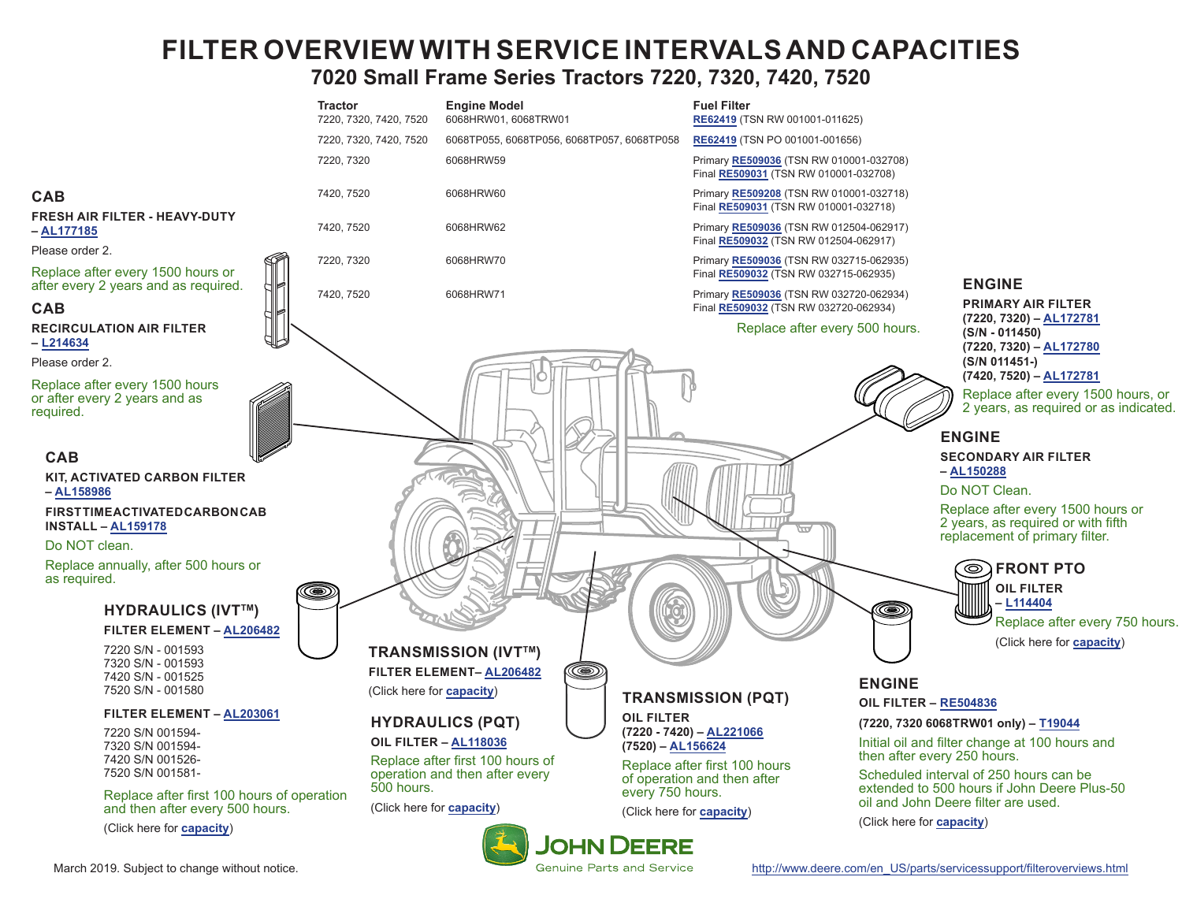# **FILTER OVERVIEW WITH SERVICE INTERVALS AND CAPACITIES 7020 Small Frame Series Tractors 7220, 7320, 7420, 7520**

<span id="page-0-0"></span>

March 2019. Subject to change without notice. [http://www.deere.com/en\\_US/parts/servicessupport/filteroverviews.html](http://www.deere.com/en_US/parts/servicessupport/filteroverviews.html)